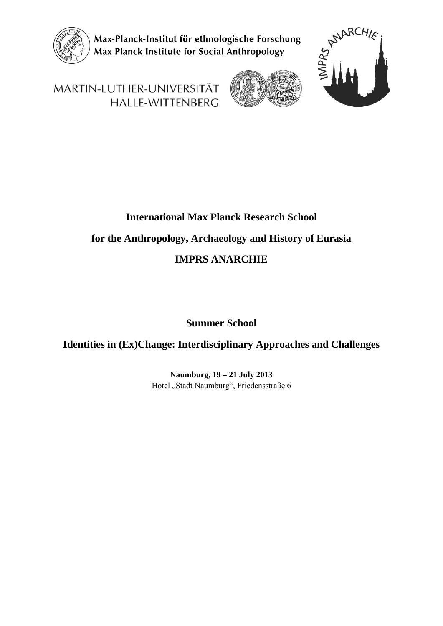

Max-Planck-Institut für ethnologische Forschung Max Planck Institute for Social Anthropology



# MARTIN-LUTHER-UNIVERSITÄT HALLE-WITTENBERG

# **International Max Planck Research School for the Anthropology, Archaeology and History of Eurasia IMPRS ANARCHIE**

**Summer School**

**Identities in (Ex)Change: Interdisciplinary Approaches and Challenges**

**Naumburg, 19 – 21 July 2013** Hotel "Stadt Naumburg", Friedensstraße 6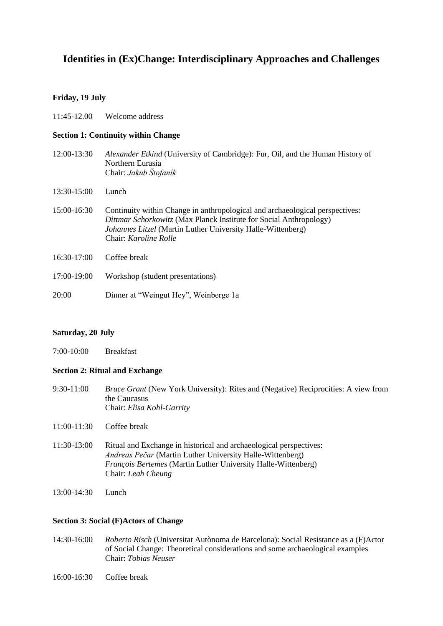## **Identities in (Ex)Change: Interdisciplinary Approaches and Challenges**

#### **Friday, 19 July**

11:45-12.00 Welcome address

#### **Section 1: Continuity within Change**

- 12:00-13:30 *Alexander Etkind* (University of Cambridge): Fur, Oil, and the Human History of Northern Eurasia Chair: *Jakub Štofaník*
- 13:30-15:00 Lunch
- 15:00-16:30 Continuity within Change in anthropological and archaeological perspectives: *Dittmar Schorkowitz* (Max Planck Institute for Social Anthropology) *Johannes Litzel* (Martin Luther University Halle-Wittenberg) Chair: *Karoline Rolle*
- 16:30-17:00 Coffee break 17:00-19:00 Workshop (student presentations) 20:00 Dinner at "Weingut Hey", Weinberge 1a

#### **Saturday, 20 July**

7:00-10:00 Breakfast

#### **Section 2: Ritual and Exchange**

- 9:30-11:00 *Bruce Grant* (New York University): Rites and (Negative) Reciprocities: A view from the Caucasus Chair: *Elisa Kohl-Garrity*
- 11:00-11:30 Coffee break
- 11:30-13:00 Ritual and Exchange in historical and archaeological perspectives: *Andreas Pečar* (Martin Luther University Halle-Wittenberg) *François Bertemes* (Martin Luther University Halle-Wittenberg) Chair: *Leah Cheung*
- 13:00-14:30 Lunch

#### **Section 3: Social (F)Actors of Change**

- 14:30-16:00 *Roberto Risch* (Universitat Autònoma de Barcelona): Social Resistance as a (F)Actor of Social Change: Theoretical considerations and some archaeological examples Chair: *Tobias Neuser*
- 16:00-16:30 Coffee break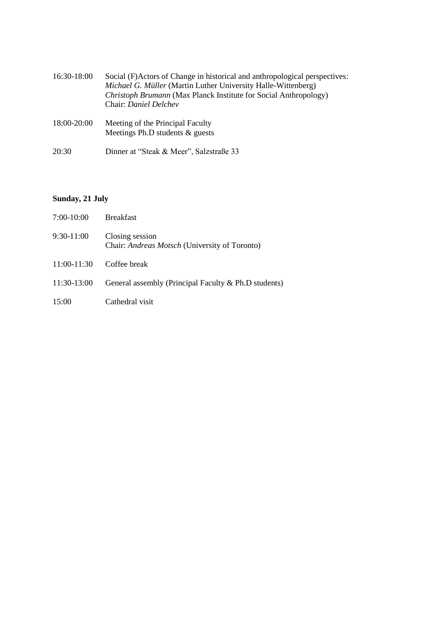| 16:30-18:00 | Social (F)Actors of Change in historical and anthropological perspectives:<br><i>Michael G. Müller</i> (Martin Luther University Halle-Wittenberg)<br>Christoph Brumann (Max Planck Institute for Social Anthropology)<br>Chair: Daniel Delchev |
|-------------|-------------------------------------------------------------------------------------------------------------------------------------------------------------------------------------------------------------------------------------------------|
| 18:00-20:00 | Meeting of the Principal Faculty<br>Meetings Ph.D students $\&$ guests                                                                                                                                                                          |

20:30 Dinner at "Steak & Meer", Salzstraße 33

### **Sunday, 21 July**

| 7:00-10:00  | <b>Breakfast</b>                                                 |
|-------------|------------------------------------------------------------------|
| 9:30-11:00  | Closing session<br>Chair: Andreas Motsch (University of Toronto) |
| 11:00-11:30 | Coffee break                                                     |
| 11:30-13:00 | General assembly (Principal Faculty & Ph.D students)             |
|             |                                                                  |

15:00 Cathedral visit